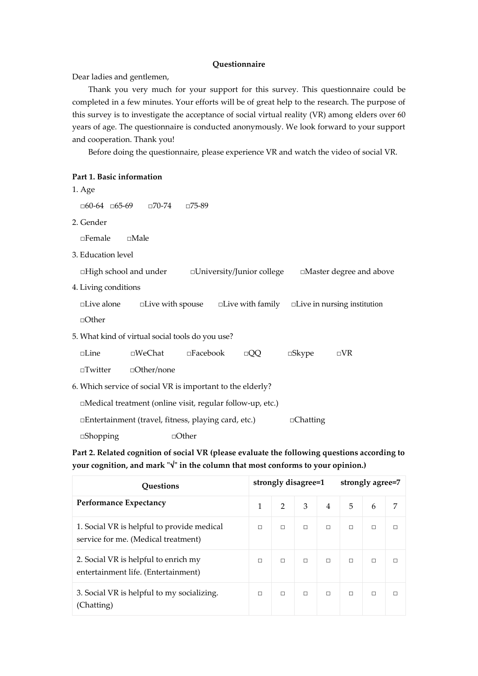## **Questionnaire**

Dear ladies and gentlemen,

Thank you very much for your support for this survey. This questionnaire could be completed in a few minutes. Your efforts will be of great help to the research. The purpose of this survey is to investigate the acceptance of social virtual reality (VR) among elders over 60 years of age. The questionnaire is conducted anonymously. We look forward to your support and cooperation. Thank you!

Before doing the questionnaire, please experience VR and watch the video of social VR.

| Part 1. Basic information                                  |                            |                    |                            |                 |                                                            |
|------------------------------------------------------------|----------------------------|--------------------|----------------------------|-----------------|------------------------------------------------------------|
| 1. Age                                                     |                            |                    |                            |                 |                                                            |
| $\Box 60 - 64$ $\Box 65 - 69$ $\Box 70 - 74$               |                            | □75-89             |                            |                 |                                                            |
| 2. Gender                                                  |                            |                    |                            |                 |                                                            |
| $\Box$ Female<br>$\Box$ Male                               |                            |                    |                            |                 |                                                            |
| 3. Education level                                         |                            |                    |                            |                 |                                                            |
| $\Box$ High school and under                               |                            |                    | □University/Junior college |                 | □Master degree and above                                   |
| 4. Living conditions                                       |                            |                    |                            |                 |                                                            |
| $\Box$ Live alone                                          | $\square$ Live with spouse |                    |                            |                 | $\Box$ Live with family $\Box$ Live in nursing institution |
| $\Box$ Other                                               |                            |                    |                            |                 |                                                            |
| 5. What kind of virtual social tools do you use?           |                            |                    |                            |                 |                                                            |
| $\square$ Line                                             | □WeChat                    | $\square$ Facebook | $\Box QQ$                  | $\square$ Skype | $\neg$ VR                                                  |
| $\Box$ Twitter                                             | $\Box$ Other/none          |                    |                            |                 |                                                            |
| 6. Which service of social VR is important to the elderly? |                            |                    |                            |                 |                                                            |
| □Medical treatment (online visit, regular follow-up, etc.) |                            |                    |                            |                 |                                                            |
| □Entertainment (travel, fitness, playing card, etc.)       |                            |                    |                            | $\Box$ Chatting |                                                            |
| $\Box$ Shopping                                            |                            | $\Box$ Other       |                            |                 |                                                            |

**Part 2. Related cognition of social VR (please evaluate the following questions according to your cognition, and mark "√" in the column that most conforms to your opinion.)**

| <b>Questions</b>                                                                  | strongly disagree=1 |               |   |        | strongly agree=7 |        |        |  |
|-----------------------------------------------------------------------------------|---------------------|---------------|---|--------|------------------|--------|--------|--|
| <b>Performance Expectancy</b>                                                     | 1                   | $\mathcal{P}$ | 3 | 4      | 5                | 6      | 7      |  |
| 1. Social VR is helpful to provide medical<br>service for me. (Medical treatment) | П                   | $\Box$        | П | $\Box$ | П                | $\Box$ | П      |  |
| 2. Social VR is helpful to enrich my<br>entertainment life. (Entertainment)       | П                   | П             | П | $\Box$ | П                | $\Box$ | П      |  |
| 3. Social VR is helpful to my socializing.<br>(Chatting)                          | П                   | П             | П | $\Box$ | П                | $\Box$ | $\Box$ |  |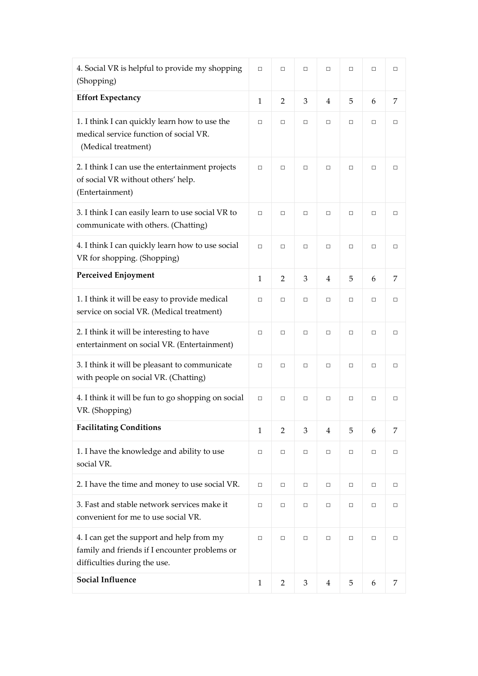| 4. Social VR is helpful to provide my shopping<br>(Shopping)                                                               | $\Box$       | $\Box$         | $\Box$ | $\Box$         | $\Box$ | $\Box$ | $\Box$ |
|----------------------------------------------------------------------------------------------------------------------------|--------------|----------------|--------|----------------|--------|--------|--------|
| <b>Effort Expectancy</b>                                                                                                   | $\mathbf{1}$ | 2              | 3      | 4              | 5      | 6      | 7      |
| 1. I think I can quickly learn how to use the<br>medical service function of social VR.<br>(Medical treatment)             |              | $\Box$         | □      | $\Box$         | $\Box$ | $\Box$ | $\Box$ |
| 2. I think I can use the entertainment projects<br>of social VR without others' help.<br>(Entertainment)                   | $\Box$       | $\Box$         | $\Box$ | $\Box$         | $\Box$ | $\Box$ | $\Box$ |
| 3. I think I can easily learn to use social VR to<br>communicate with others. (Chatting)                                   | $\Box$       | $\Box$         | $\Box$ | $\Box$         | □      | $\Box$ | $\Box$ |
| 4. I think I can quickly learn how to use social<br>VR for shopping. (Shopping)                                            | $\Box$       | $\Box$         | $\Box$ | $\Box$         | $\Box$ | $\Box$ | $\Box$ |
| <b>Perceived Enjoyment</b>                                                                                                 | $\mathbf{1}$ | $\overline{2}$ | 3      | $\overline{4}$ | 5      | 6      | 7      |
| 1. I think it will be easy to provide medical<br>service on social VR. (Medical treatment)                                 | $\Box$       | $\Box$         | □      | $\Box$         | □      | $\Box$ | $\Box$ |
| 2. I think it will be interesting to have<br>entertainment on social VR. (Entertainment)                                   | $\Box$       | $\Box$         | $\Box$ | $\Box$         | $\Box$ | $\Box$ | $\Box$ |
| 3. I think it will be pleasant to communicate<br>with people on social VR. (Chatting)                                      | $\Box$       | $\Box$         | □      | $\Box$         | $\Box$ | □      | □      |
| 4. I think it will be fun to go shopping on social<br>VR. (Shopping)                                                       | $\Box$       | $\Box$         | □      | $\Box$         | $\Box$ | $\Box$ | $\Box$ |
| <b>Facilitating Conditions</b>                                                                                             | $\mathbf{1}$ | 2              | 3      | $\overline{4}$ | 5      | 6      | 7      |
| 1. I have the knowledge and ability to use<br>social VR.                                                                   | $\Box$       | $\Box$         | $\Box$ | $\Box$         | □      | $\Box$ | $\Box$ |
| 2. I have the time and money to use social VR.                                                                             | $\Box$       | $\Box$         | $\Box$ | $\Box$         | $\Box$ | $\Box$ | $\Box$ |
| 3. Fast and stable network services make it<br>convenient for me to use social VR.                                         |              | $\Box$         | $\Box$ | $\Box$         | $\Box$ | $\Box$ | $\Box$ |
| 4. I can get the support and help from my<br>family and friends if I encounter problems or<br>difficulties during the use. |              | $\Box$         | $\Box$ | $\Box$         | □      | $\Box$ | $\Box$ |
| <b>Social Influence</b>                                                                                                    | $\mathbf{1}$ | $\overline{2}$ | 3      | 4              | 5      | 6      | 7      |